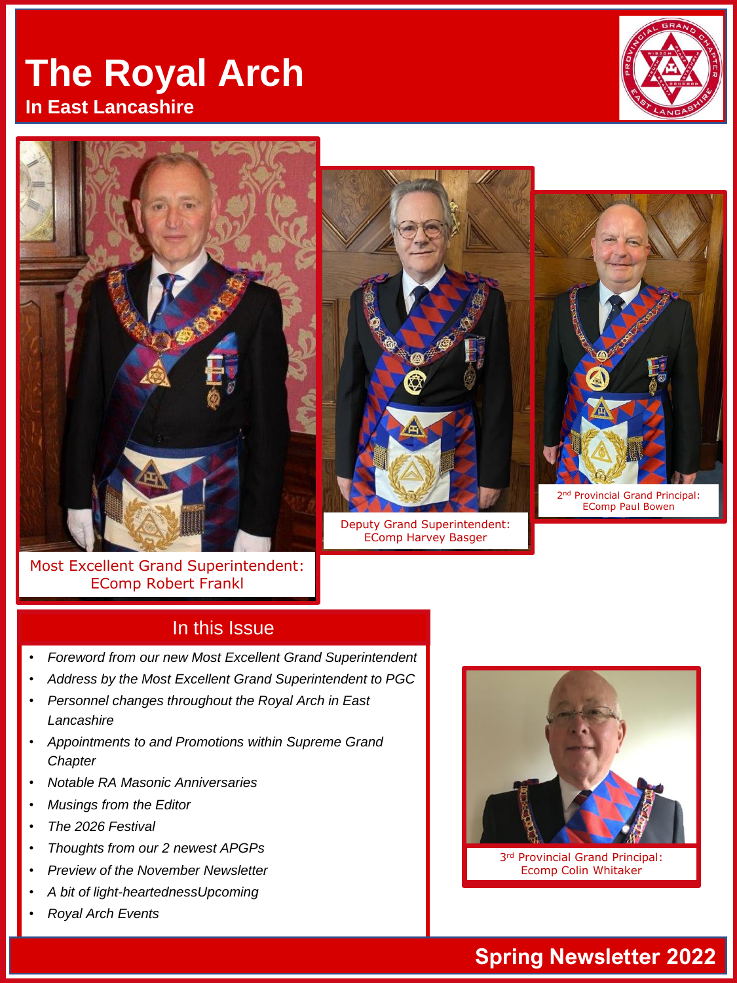# **The Royal Arch In East Lancashire**









Most Excellent Grand Superintendent: EComp Robert Frankl

#### In this Issue

- *Foreword from our new Most Excellent Grand Superintendent*
- *Address by the Most Excellent Grand Superintendent to PGC*
- *Personnel changes throughout the Royal Arch in East Lancashire*
- *Appointments to and Promotions within Supreme Grand Chapter*
- *Notable RA Masonic Anniversaries*
- *Musings from the Editor*
- *The 2026 Festival*
- *Thoughts from our 2 newest APGPs*
- *Preview of the November Newsletter*
- *A bit of light-heartednessUpcoming*
- *Royal Arch Events*



3rd Provincial Grand Principal: Ecomp Colin Whitaker

## **Spring Newsletter 2022**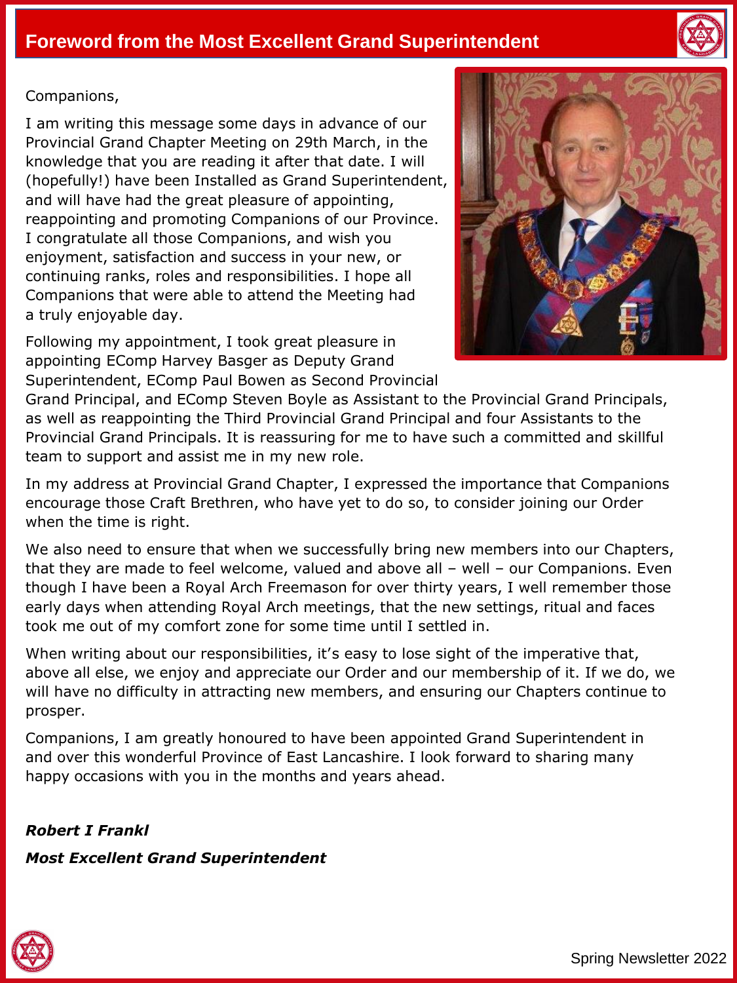



#### Companions,

I am writing this message some days in advance of our Provincial Grand Chapter Meeting on 29th March, in the knowledge that you are reading it after that date. I will (hopefully!) have been Installed as Grand Superintendent, and will have had the great pleasure of appointing, reappointing and promoting Companions of our Province. I congratulate all those Companions, and wish you enjoyment, satisfaction and success in your new, or continuing ranks, roles and responsibilities. I hope all Companions that were able to attend the Meeting had a truly enjoyable day.

Following my appointment, I took great pleasure in appointing EComp Harvey Basger as Deputy Grand Superintendent, EComp Paul Bowen as Second Provincial



Grand Principal, and EComp Steven Boyle as Assistant to the Provincial Grand Principals, as well as reappointing the Third Provincial Grand Principal and four Assistants to the Provincial Grand Principals. It is reassuring for me to have such a committed and skillful team to support and assist me in my new role.

In my address at Provincial Grand Chapter, I expressed the importance that Companions encourage those Craft Brethren, who have yet to do so, to consider joining our Order when the time is right.

We also need to ensure that when we successfully bring new members into our Chapters, that they are made to feel welcome, valued and above all – well – our Companions. Even though I have been a Royal Arch Freemason for over thirty years, I well remember those early days when attending Royal Arch meetings, that the new settings, ritual and faces took me out of my comfort zone for some time until I settled in.

When writing about our responsibilities, it's easy to lose sight of the imperative that, above all else, we enjoy and appreciate our Order and our membership of it. If we do, we will have no difficulty in attracting new members, and ensuring our Chapters continue to prosper.

Companions, I am greatly honoured to have been appointed Grand Superintendent in and over this wonderful Province of East Lancashire. I look forward to sharing many happy occasions with you in the months and years ahead.

*Robert I Frankl Most Excellent Grand Superintendent*

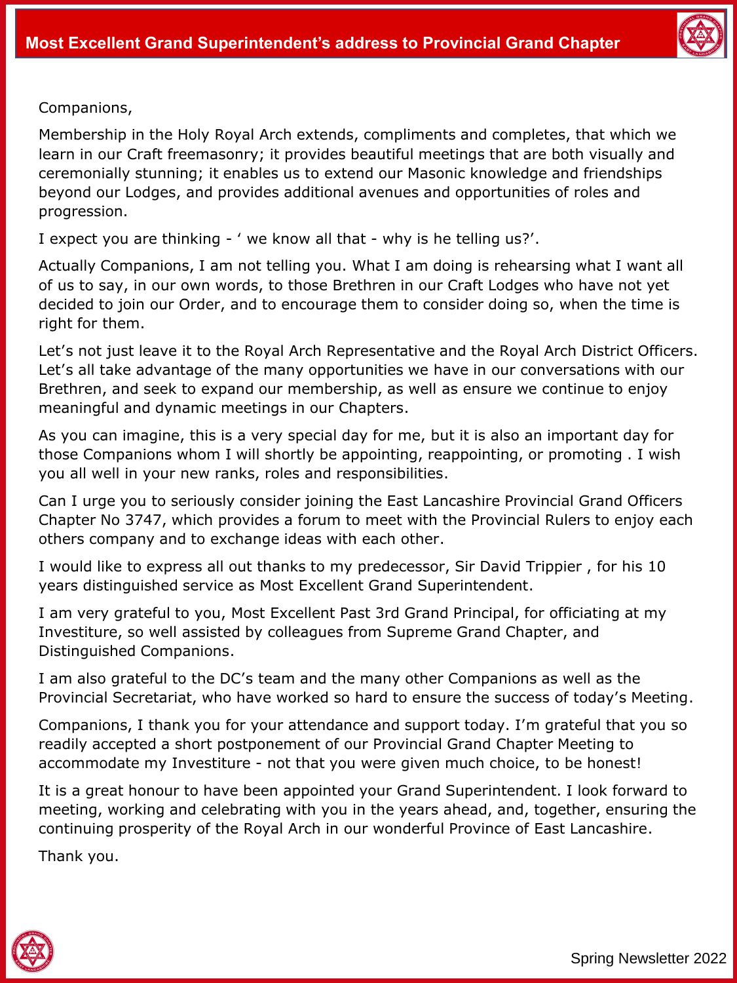

Companions,

Membership in the Holy Royal Arch extends, compliments and completes, that which we learn in our Craft freemasonry; it provides beautiful meetings that are both visually and ceremonially stunning; it enables us to extend our Masonic knowledge and friendships beyond our Lodges, and provides additional avenues and opportunities of roles and progression.

I expect you are thinking - ' we know all that - why is he telling us?'.

Actually Companions, I am not telling you. What I am doing is rehearsing what I want all of us to say, in our own words, to those Brethren in our Craft Lodges who have not yet decided to join our Order, and to encourage them to consider doing so, when the time is right for them.

Let's not just leave it to the Royal Arch Representative and the Royal Arch District Officers. Let's all take advantage of the many opportunities we have in our conversations with our Brethren, and seek to expand our membership, as well as ensure we continue to enjoy meaningful and dynamic meetings in our Chapters.

As you can imagine, this is a very special day for me, but it is also an important day for those Companions whom I will shortly be appointing, reappointing, or promoting . I wish you all well in your new ranks, roles and responsibilities.

Can I urge you to seriously consider joining the East Lancashire Provincial Grand Officers Chapter No 3747, which provides a forum to meet with the Provincial Rulers to enjoy each others company and to exchange ideas with each other.

I would like to express all out thanks to my predecessor, Sir David Trippier , for his 10 years distinguished service as Most Excellent Grand Superintendent.

I am very grateful to you, Most Excellent Past 3rd Grand Principal, for officiating at my Investiture, so well assisted by colleagues from Supreme Grand Chapter, and Distinguished Companions.

I am also grateful to the DC's team and the many other Companions as well as the Provincial Secretariat, who have worked so hard to ensure the success of today's Meeting.

Companions, I thank you for your attendance and support today. I'm grateful that you so readily accepted a short postponement of our Provincial Grand Chapter Meeting to accommodate my Investiture - not that you were given much choice, to be honest!

It is a great honour to have been appointed your Grand Superintendent. I look forward to meeting, working and celebrating with you in the years ahead, and, together, ensuring the continuing prosperity of the Royal Arch in our wonderful Province of East Lancashire.

Thank you.

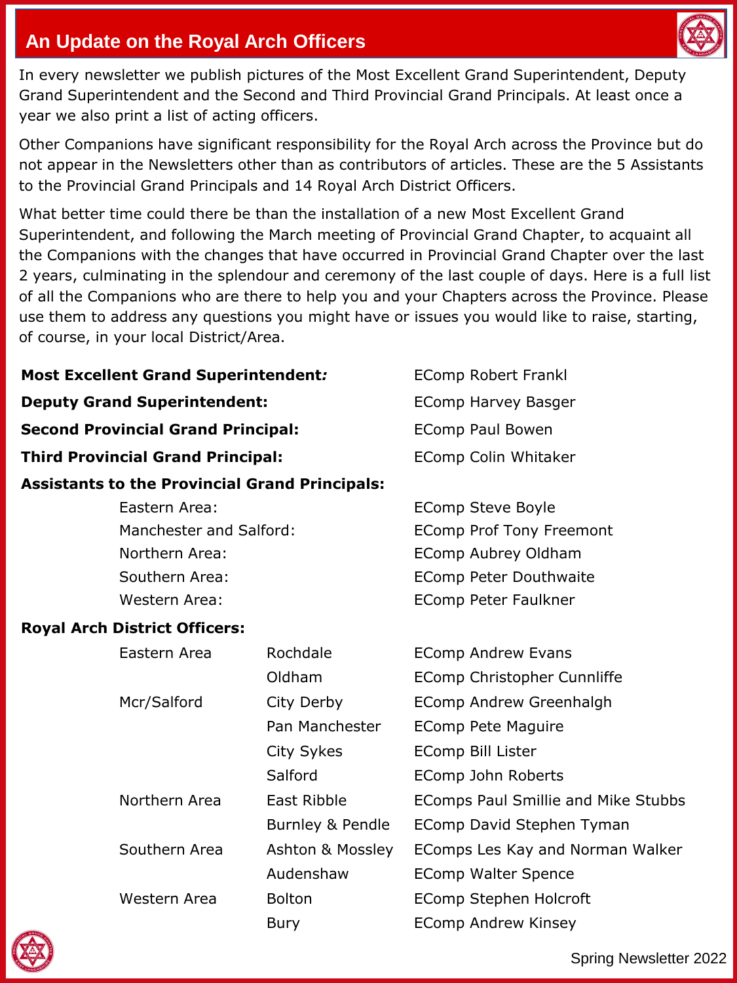

## **An Update on the Royal Arch Officers**

In every newsletter we publish pictures of the Most Excellent Grand Superintendent, Deputy Grand Superintendent and the Second and Third Provincial Grand Principals. At least once a year we also print a list of acting officers.

Other Companions have significant responsibility for the Royal Arch across the Province but do not appear in the Newsletters other than as contributors of articles. These are the 5 Assistants to the Provincial Grand Principals and 14 Royal Arch District Officers.

What better time could there be than the installation of a new Most Excellent Grand Superintendent, and following the March meeting of Provincial Grand Chapter, to acquaint all the Companions with the changes that have occurred in Provincial Grand Chapter over the last 2 years, culminating in the splendour and ceremony of the last couple of days. Here is a full list of all the Companions who are there to help you and your Chapters across the Province. Please use them to address any questions you might have or issues you would like to raise, starting, of course, in your local District/Area.

**Most Excellent Grand Superintendent***:* **EComp Robert Frankl** 

**Deputy Grand Superintendent: EComp Harvey Basger Second Provincial Grand Principal: EComp Paul Bowen Third Provincial Grand Principal: EComp Colin Whitaker** 

#### **Assistants to the Provincial Grand Principals:**

Eastern Area: EComp Steve Boyle Manchester and Salford: EComp Prof Tony Freemont Northern Area: EComp Aubrey Oldham Southern Area: EComp Peter Douthwaite Western Area: The Comp Peter Faulkner

#### **Royal Arch District Officers:**

| Eastern Area  | Rochdale         | <b>EComp Andrew Evans</b>           |
|---------------|------------------|-------------------------------------|
|               | Oldham           | EComp Christopher Cunnliffe         |
| Mcr/Salford   | City Derby       | EComp Andrew Greenhalgh             |
|               | Pan Manchester   | EComp Pete Maguire                  |
|               | City Sykes       | <b>EComp Bill Lister</b>            |
|               | Salford          | EComp John Roberts                  |
| Northern Area | East Ribble      | EComps Paul Smillie and Mike Stubbs |
|               | Burnley & Pendle | EComp David Stephen Tyman           |
| Southern Area | Ashton & Mossley | EComps Les Kay and Norman Walker    |
|               | Audenshaw        | <b>EComp Walter Spence</b>          |
| Western Area  | <b>Bolton</b>    | EComp Stephen Holcroft              |
|               | Bury             | <b>EComp Andrew Kinsey</b>          |

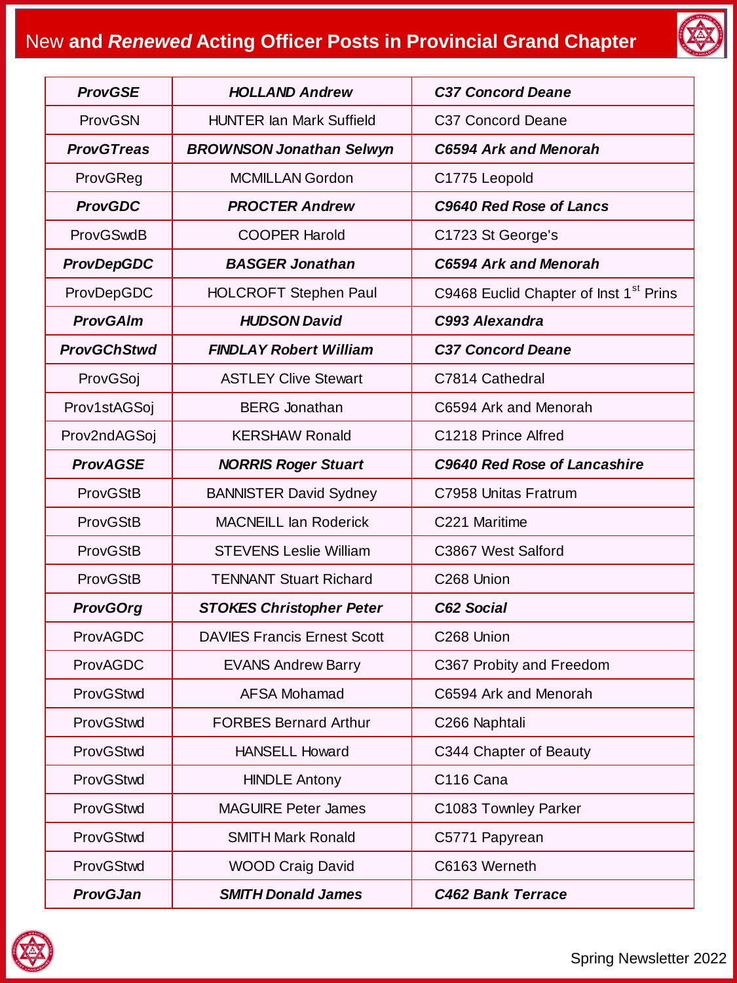# New **and** *Renewed* **Acting Officer Posts in Provincial Grand Chapter**



| <b>ProvGSE</b>     | <b>HOLLAND Andrew</b>              | <b>C37 Concord Deane</b>                           |
|--------------------|------------------------------------|----------------------------------------------------|
| ProvGSN            | <b>HUNTER Ian Mark Suffield</b>    | C37 Concord Deane                                  |
| <b>ProvGTreas</b>  | <b>BROWNSON Jonathan Selwyn</b>    | <b>C6594 Ark and Menorah</b>                       |
| ProvGReg           | <b>MCMILLAN Gordon</b>             | C1775 Leopold                                      |
| <b>ProvGDC</b>     | <b>PROCTER Andrew</b>              | C9640 Red Rose of Lancs                            |
| ProvGSwdB          | <b>COOPER Harold</b>               | C1723 St George's                                  |
| <b>ProvDepGDC</b>  | <b>BASGER Jonathan</b>             | <b>C6594 Ark and Menorah</b>                       |
| ProvDepGDC         | <b>HOLCROFT Stephen Paul</b>       | C9468 Euclid Chapter of Inst 1 <sup>st</sup> Prins |
| <b>ProvGAIm</b>    | <b>HUDSON David</b>                | C993 Alexandra                                     |
| <b>ProvGChStwd</b> | <b>FINDLAY Robert William</b>      | <b>C37 Concord Deane</b>                           |
| ProvGSoj           | <b>ASTLEY Clive Stewart</b>        | C7814 Cathedral                                    |
| Prov1stAGSoj       | <b>BERG</b> Jonathan               | C6594 Ark and Menorah                              |
| Prov2ndAGSoj       | <b>KERSHAW Ronald</b>              | C1218 Prince Alfred                                |
| <b>ProvAGSE</b>    | <b>NORRIS Roger Stuart</b>         | C9640 Red Rose of Lancashire                       |
| ProvGStB           | <b>BANNISTER David Sydney</b>      | C7958 Unitas Fratrum                               |
| ProvGStB           | <b>MACNEILL Ian Roderick</b>       | C221 Maritime                                      |
| ProvGStB           | <b>STEVENS Leslie William</b>      | C3867 West Salford                                 |
| ProvGStB           | <b>TENNANT Stuart Richard</b>      | C268 Union                                         |
| <b>ProvGOrg</b>    | <b>STOKES Christopher Peter</b>    | C62 Social                                         |
| ProvAGDC           | <b>DAVIES Francis Ernest Scott</b> | C268 Union                                         |
| ProvAGDC           | <b>EVANS Andrew Barry</b>          | C367 Probity and Freedom                           |
| ProvGStwd          | <b>AFSA Mohamad</b>                | C6594 Ark and Menorah                              |
| ProvGStwd          | <b>FORBES Bernard Arthur</b>       | C266 Naphtali                                      |
| ProvGStwd          | <b>HANSELL Howard</b>              | C344 Chapter of Beauty                             |
| ProvGStwd          | <b>HINDLE Antony</b>               | C116 Cana                                          |
| ProvGStwd          | <b>MAGUIRE Peter James</b>         | C1083 Townley Parker                               |
| ProvGStwd          | <b>SMITH Mark Ronald</b>           | C5771 Papyrean                                     |
| ProvGStwd          | <b>WOOD Craig David</b>            | C6163 Werneth                                      |
| <b>ProvGJan</b>    | <b>SMITH Donald James</b>          | <b>C462 Bank Terrace</b>                           |

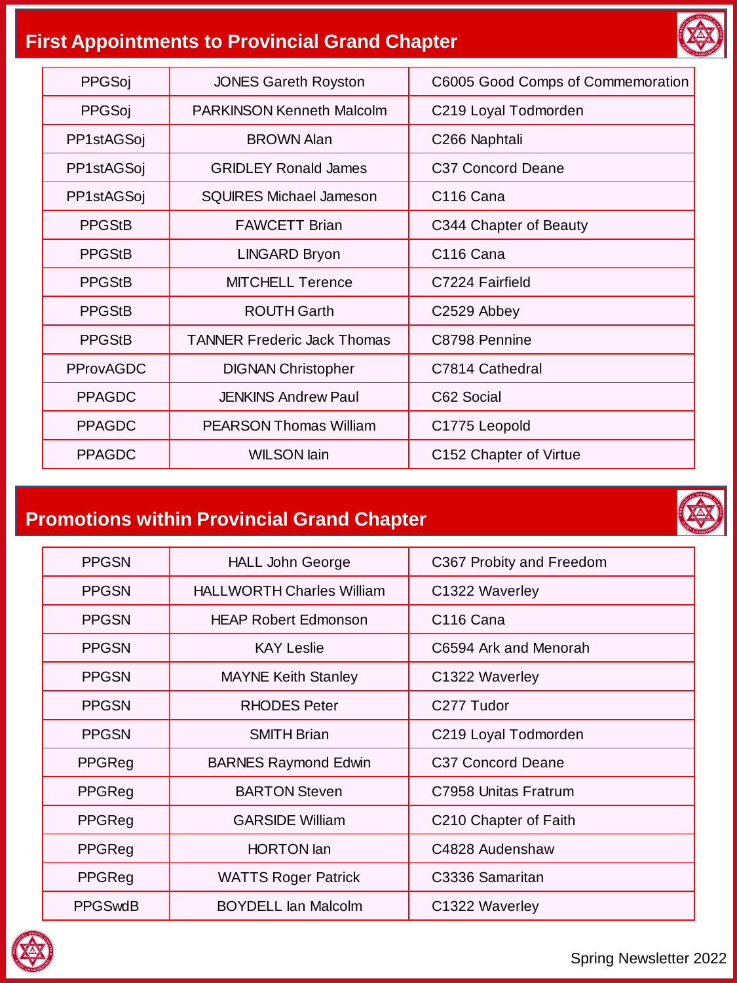# **First Appointments to Provincial Grand Chapter**



| PPGSoj           | <b>JONES Gareth Royston</b>        | C6005 Good Comps of Commemoration |
|------------------|------------------------------------|-----------------------------------|
| PPGSoj           | <b>PARKINSON Kenneth Malcolm</b>   | C219 Loyal Todmorden              |
| PP1stAGSoj       | <b>BROWN Alan</b>                  | C <sub>266</sub> Naphtali         |
| PP1stAGSoj       | <b>GRIDLEY Ronald James</b>        | C37 Concord Deane                 |
| PP1stAGSoj       | SQUIRES Michael Jameson            | C <sub>16</sub> Cana              |
| <b>PPGStB</b>    | <b>FAWCETT Brian</b>               | C344 Chapter of Beauty            |
| <b>PPGStB</b>    | <b>LINGARD Bryon</b>               | C <sub>116</sub> Cana             |
| <b>PPGStB</b>    | MITCHELL Terence                   | C7224 Fairfield                   |
| <b>PPGStB</b>    | ROUTH Garth                        | C2529 Abbey                       |
| <b>PPGStB</b>    | <b>TANNER Frederic Jack Thomas</b> | C8798 Pennine                     |
| <b>PProvAGDC</b> | <b>DIGNAN Christopher</b>          | C7814 Cathedral                   |
| <b>PPAGDC</b>    | <b>JENKINS Andrew Paul</b>         | C62 Social                        |
| <b>PPAGDC</b>    | <b>PEARSON Thomas William</b>      | C1775 Leopold                     |
| <b>PPAGDC</b>    | <b>WILSON lain</b>                 | C152 Chapter of Virtue            |

# **Promotions within Provincial Grand Chapter**

| <b>PPGSN</b>   | <b>HALL John George</b>          | C367 Probity and Freedom      |
|----------------|----------------------------------|-------------------------------|
| <b>PPGSN</b>   | <b>HALLWORTH Charles William</b> | C1322 Waverley                |
| <b>PPGSN</b>   | <b>HEAP Robert Edmonson</b>      | C <sub>116</sub> Cana         |
| <b>PPGSN</b>   | <b>KAY Leslie</b>                | C6594 Ark and Menorah         |
| <b>PPGSN</b>   | <b>MAYNE Keith Stanley</b>       | C1322 Waverley                |
| <b>PPGSN</b>   | <b>RHODES</b> Peter              | C277 Tudor                    |
| <b>PPGSN</b>   | <b>SMITH Brian</b>               | C219 Loyal Todmorden          |
| PPGReg         | <b>BARNES Raymond Edwin</b>      | C <sub>37</sub> Concord Deane |
| PPGReg         | <b>BARTON Steven</b>             | C7958 Unitas Fratrum          |
| PPGReg         | <b>GARSIDE William</b>           | C210 Chapter of Faith         |
| PPGReg         | <b>HORTON</b> lan                | C4828 Audenshaw               |
| PPGReg         | <b>WATTS Roger Patrick</b>       | C3336 Samaritan               |
| <b>PPGSwdB</b> | <b>BOYDELL Ian Malcolm</b>       | C1322 Waverley                |

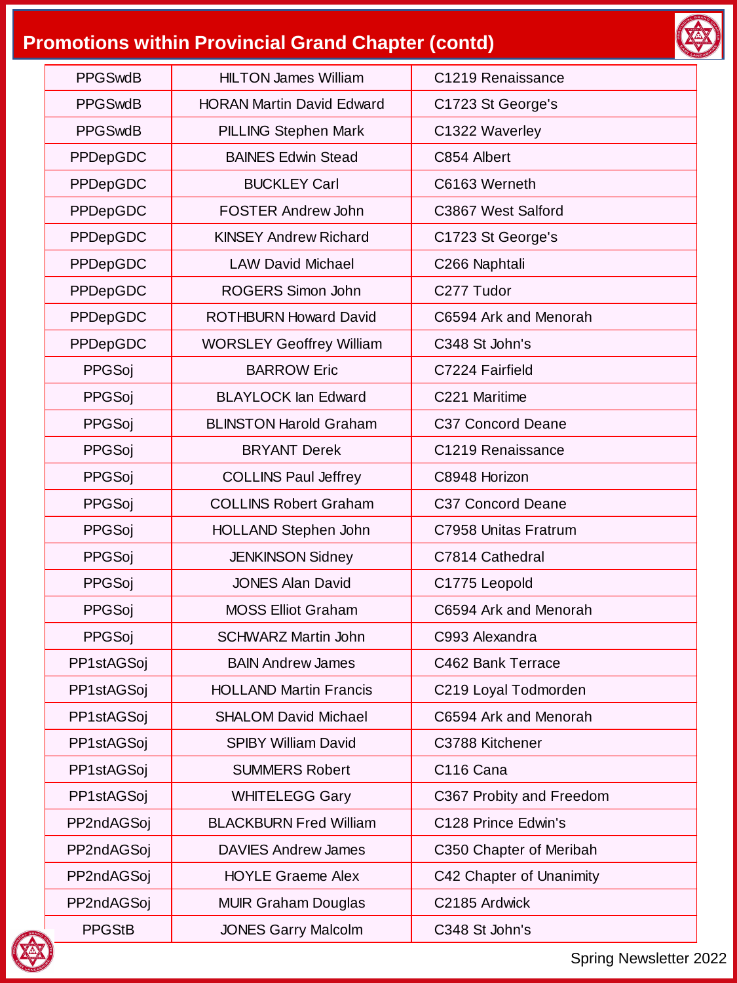# **Promotions within Provincial Grand Chapter (contd)**



| <b>PPGSwdB</b> | <b>HILTON James William</b>      | C1219 Renaissance        |
|----------------|----------------------------------|--------------------------|
| <b>PPGSwdB</b> | <b>HORAN Martin David Edward</b> | C1723 St George's        |
| <b>PPGSwdB</b> | <b>PILLING Stephen Mark</b>      | C1322 Waverley           |
| PPDepGDC       | <b>BAINES Edwin Stead</b>        | C854 Albert              |
| PPDepGDC       | <b>BUCKLEY Carl</b>              | C6163 Werneth            |
| PPDepGDC       | <b>FOSTER Andrew John</b>        | C3867 West Salford       |
| PPDepGDC       | <b>KINSEY Andrew Richard</b>     | C1723 St George's        |
| PPDepGDC       | <b>LAW David Michael</b>         | C266 Naphtali            |
| PPDepGDC       | ROGERS Simon John                | C277 Tudor               |
| PPDepGDC       | <b>ROTHBURN Howard David</b>     | C6594 Ark and Menorah    |
| PPDepGDC       | <b>WORSLEY Geoffrey William</b>  | C348 St John's           |
| PPGSoj         | <b>BARROW Eric</b>               | C7224 Fairfield          |
| PPGSoj         | <b>BLAYLOCK lan Edward</b>       | C221 Maritime            |
| PPGSoj         | <b>BLINSTON Harold Graham</b>    | C37 Concord Deane        |
| PPGSoj         | <b>BRYANT Derek</b>              | C1219 Renaissance        |
| PPGSoj         | <b>COLLINS Paul Jeffrey</b>      | C8948 Horizon            |
| PPGSoj         | <b>COLLINS Robert Graham</b>     | C37 Concord Deane        |
| PPGSoj         | HOLLAND Stephen John             | C7958 Unitas Fratrum     |
| PPGSoj         | <b>JENKINSON Sidney</b>          | C7814 Cathedral          |
| PPGSoj         | <b>JONES Alan David</b>          | C1775 Leopold            |
| PPGSoj         | <b>MOSS Elliot Graham</b>        | C6594 Ark and Menorah    |
| PPGSoj         | <b>SCHWARZ Martin John</b>       | C993 Alexandra           |
| PP1stAGSoj     | <b>BAIN Andrew James</b>         | C462 Bank Terrace        |
| PP1stAGSoj     | <b>HOLLAND Martin Francis</b>    | C219 Loyal Todmorden     |
| PP1stAGSoj     | <b>SHALOM David Michael</b>      | C6594 Ark and Menorah    |
| PP1stAGSoj     | <b>SPIBY William David</b>       | C3788 Kitchener          |
| PP1stAGSoj     | <b>SUMMERS Robert</b>            | C116 Cana                |
| PP1stAGSoj     | <b>WHITELEGG Gary</b>            | C367 Probity and Freedom |
| PP2ndAGSoj     | <b>BLACKBURN Fred William</b>    | C128 Prince Edwin's      |
| PP2ndAGSoj     | <b>DAVIES Andrew James</b>       | C350 Chapter of Meribah  |
| PP2ndAGSoj     | <b>HOYLE Graeme Alex</b>         | C42 Chapter of Unanimity |
| PP2ndAGSoj     | <b>MUIR Graham Douglas</b>       | C2185 Ardwick            |
| <b>PPGStB</b>  | <b>JONES Garry Malcolm</b>       | C348 St John's           |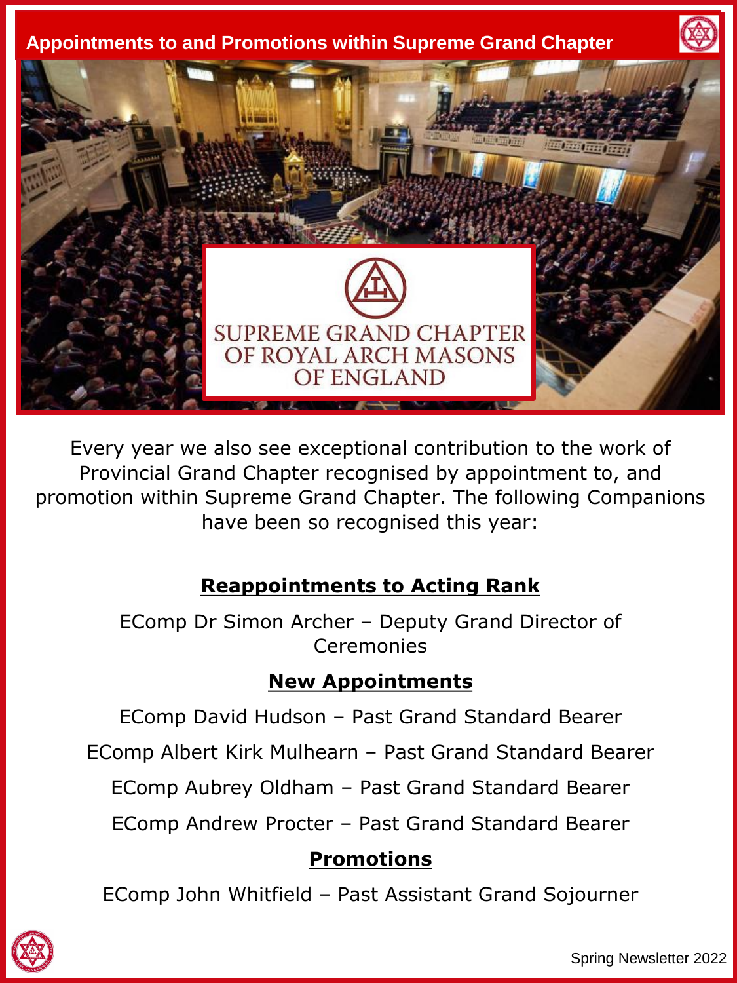

Every year we also see exceptional contribution to the work of Provincial Grand Chapter recognised by appointment to, and promotion within Supreme Grand Chapter. The following Companions have been so recognised this year:

# **Reappointments to Acting Rank**

EComp Dr Simon Archer – Deputy Grand Director of Ceremonies

## **New Appointments**

EComp David Hudson – Past Grand Standard Bearer

EComp Albert Kirk Mulhearn – Past Grand Standard Bearer

EComp Aubrey Oldham – Past Grand Standard Bearer

EComp Andrew Procter – Past Grand Standard Bearer

## **Promotions**

EComp John Whitfield – Past Assistant Grand Sojourner

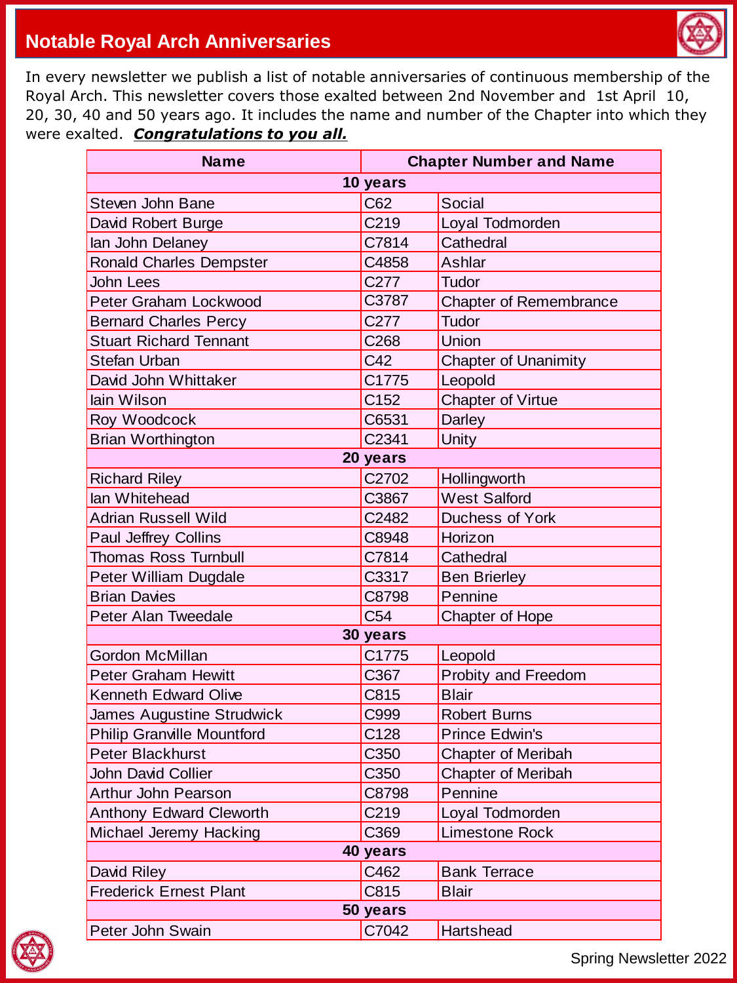

#### **Notable Royal Arch Anniversaries**

In every newsletter we publish a list of notable anniversaries of continuous membership of the Royal Arch. This newsletter covers those exalted between 2nd November and 1st April 10, 20, 30, 40 and 50 years ago. It includes the name and number of the Chapter into which they were exalted. *Congratulations to you all.*

| <b>Chapter Number and Name</b><br><b>Name</b> |                  |                               |  |
|-----------------------------------------------|------------------|-------------------------------|--|
|                                               | 10 years         |                               |  |
| Steven John Bane                              | C62              | Social                        |  |
| David Robert Burge                            | C <sub>219</sub> | Loyal Todmorden               |  |
| lan John Delaney                              | C7814            | Cathedral                     |  |
| <b>Ronald Charles Dempster</b>                | C4858            | Ashlar                        |  |
| <b>John Lees</b>                              | C277             | Tudor                         |  |
| Peter Graham Lockwood                         | C3787            | <b>Chapter of Remembrance</b> |  |
| <b>Bernard Charles Percy</b>                  | C <sub>277</sub> | Tudor                         |  |
| <b>Stuart Richard Tennant</b>                 | C268             | Union                         |  |
| <b>Stefan Urban</b>                           | C42              | <b>Chapter of Unanimity</b>   |  |
| David John Whittaker                          | C1775            | Leopold                       |  |
| lain Wilson                                   | C <sub>152</sub> | Chapter of Virtue             |  |
| Roy Woodcock                                  | C6531            | Darley                        |  |
| <b>Brian Worthington</b>                      | C2341            | Unity                         |  |
|                                               | 20 years         |                               |  |
| <b>Richard Riley</b>                          | C2702            | Hollingworth                  |  |
| lan Whitehead                                 | C3867            | <b>West Salford</b>           |  |
| <b>Adrian Russell Wild</b>                    | C2482            | Duchess of York               |  |
| Paul Jeffrey Collins                          | C8948            | Horizon                       |  |
| <b>Thomas Ross Turnbull</b>                   | C7814            | Cathedral                     |  |
| Peter William Dugdale                         | C3317            | <b>Ben Brierley</b>           |  |
| <b>Brian Davies</b>                           | C8798            | Pennine                       |  |
| Peter Alan Tweedale                           | C <sub>54</sub>  | Chapter of Hope               |  |
|                                               | 30 years         |                               |  |
| <b>Gordon McMillan</b>                        | C1775            | Leopold                       |  |
| <b>Peter Graham Hewitt</b>                    | C367             | Probity and Freedom           |  |
| <b>Kenneth Edward Olive</b>                   | C815             | <b>Blair</b>                  |  |
| James Augustine Strudwick                     | C999             | <b>Robert Burns</b>           |  |
| <b>Philip Granville Mountford</b>             | C128             | <b>Prince Edwin's</b>         |  |
| <b>Peter Blackhurst</b>                       | C350             | <b>Chapter of Meribah</b>     |  |
| John David Collier                            | C350             | <b>Chapter of Meribah</b>     |  |
| Arthur John Pearson                           | C8798            | Pennine                       |  |
| Anthony Edward Cleworth                       | C219             | Loyal Todmorden               |  |
| Michael Jeremy Hacking                        | C369             | Limestone Rock                |  |
| 40 years                                      |                  |                               |  |
| David Riley                                   | C462             | <b>Bank Terrace</b>           |  |
| <b>Frederick Ernest Plant</b>                 | C815             | <b>Blair</b>                  |  |
| 50 years                                      |                  |                               |  |
| Peter John Swain                              | C7042            | Hartshead                     |  |

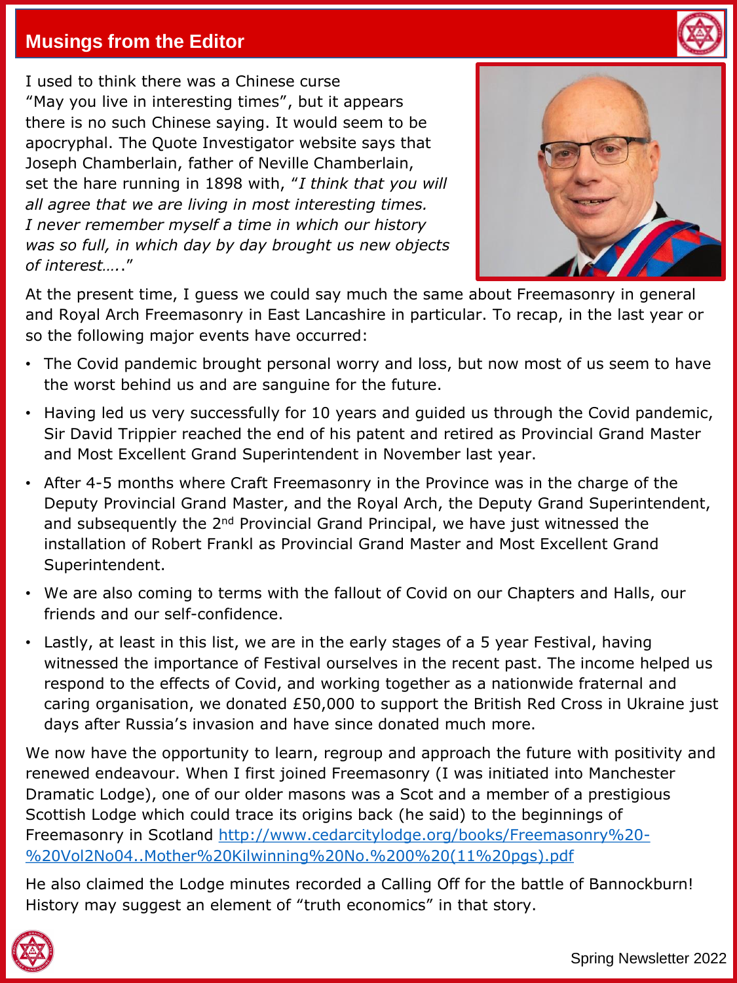### **Musings from the Editor**

I used to think there was a Chinese curse "May you live in interesting times", but it appears there is no such Chinese saying. It would seem to be apocryphal. The Quote Investigator website says that Joseph Chamberlain, father of Neville Chamberlain, set the hare running in 1898 with, "*I think that you will all agree that we are living in most interesting times. I never remember myself a time in which our history was so full, in which day by day brought us new objects of interest….*."



At the present time, I guess we could say much the same about Freemasonry in general and Royal Arch Freemasonry in East Lancashire in particular. To recap, in the last year or so the following major events have occurred:

- The Covid pandemic brought personal worry and loss, but now most of us seem to have the worst behind us and are sanguine for the future.
- Having led us very successfully for 10 years and guided us through the Covid pandemic, Sir David Trippier reached the end of his patent and retired as Provincial Grand Master and Most Excellent Grand Superintendent in November last year.
- After 4-5 months where Craft Freemasonry in the Province was in the charge of the Deputy Provincial Grand Master, and the Royal Arch, the Deputy Grand Superintendent, and subsequently the 2<sup>nd</sup> Provincial Grand Principal, we have just witnessed the installation of Robert Frankl as Provincial Grand Master and Most Excellent Grand Superintendent.
- We are also coming to terms with the fallout of Covid on our Chapters and Halls, our friends and our self-confidence.
- Lastly, at least in this list, we are in the early stages of a 5 year Festival, having witnessed the importance of Festival ourselves in the recent past. The income helped us respond to the effects of Covid, and working together as a nationwide fraternal and caring organisation, we donated £50,000 to support the British Red Cross in Ukraine just days after Russia's invasion and have since donated much more.

We now have the opportunity to learn, regroup and approach the future with positivity and renewed endeavour. When I first joined Freemasonry (I was initiated into Manchester Dramatic Lodge), one of our older masons was a Scot and a member of a prestigious Scottish Lodge which could trace its origins back (he said) to the beginnings of [Freemasonry in Scotland http://www.cedarcitylodge.org/books/Freemasonry%20-](http://www.cedarcitylodge.org/books/Freemasonry%20-%20Vol2No04..Mother%20Kilwinning%20No.%200%20(11%20pgs).pdf) %20Vol2No04..Mother%20Kilwinning%20No.%200%20(11%20pgs).pdf

He also claimed the Lodge minutes recorded a Calling Off for the battle of Bannockburn! History may suggest an element of "truth economics" in that story.

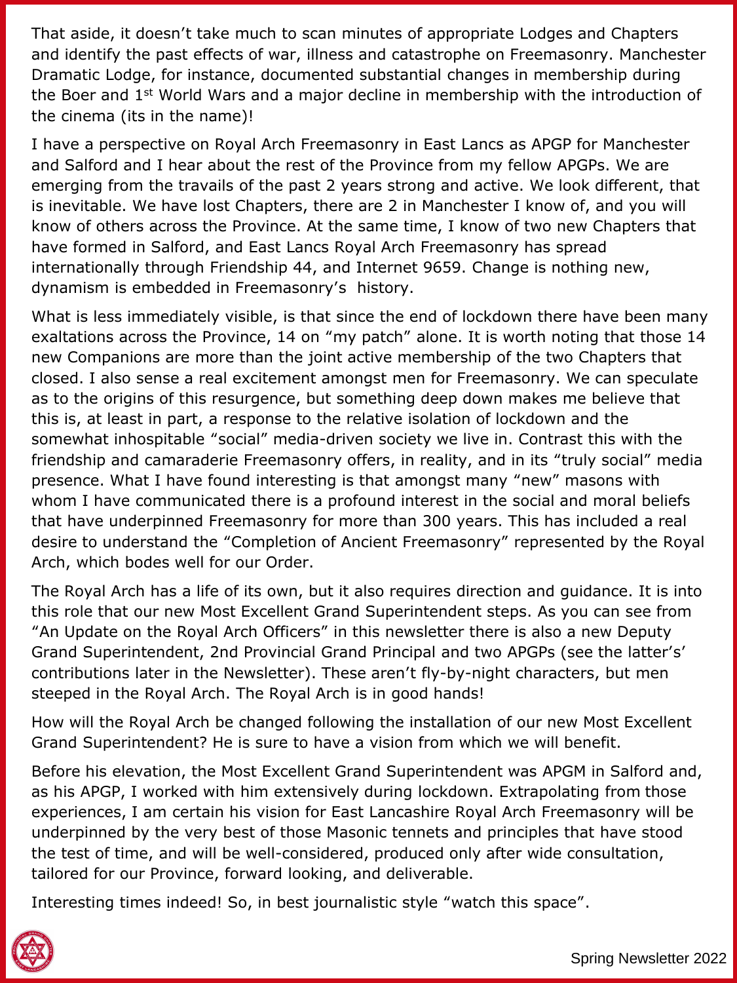That aside, it doesn't take much to scan minutes of appropriate Lodges and Chapters and identify the past effects of war, illness and catastrophe on Freemasonry. Manchester Dramatic Lodge, for instance, documented substantial changes in membership during the Boer and 1st World Wars and a major decline in membership with the introduction of the cinema (its in the name)!

I have a perspective on Royal Arch Freemasonry in East Lancs as APGP for Manchester and Salford and I hear about the rest of the Province from my fellow APGPs. We are emerging from the travails of the past 2 years strong and active. We look different, that is inevitable. We have lost Chapters, there are 2 in Manchester I know of, and you will know of others across the Province. At the same time, I know of two new Chapters that have formed in Salford, and East Lancs Royal Arch Freemasonry has spread internationally through Friendship 44, and Internet 9659. Change is nothing new, dynamism is embedded in Freemasonry's history.

What is less immediately visible, is that since the end of lockdown there have been many exaltations across the Province, 14 on "my patch" alone. It is worth noting that those 14 new Companions are more than the joint active membership of the two Chapters that closed. I also sense a real excitement amongst men for Freemasonry. We can speculate as to the origins of this resurgence, but something deep down makes me believe that this is, at least in part, a response to the relative isolation of lockdown and the somewhat inhospitable "social" media-driven society we live in. Contrast this with the friendship and camaraderie Freemasonry offers, in reality, and in its "truly social" media presence. What I have found interesting is that amongst many "new" masons with whom I have communicated there is a profound interest in the social and moral beliefs that have underpinned Freemasonry for more than 300 years. This has included a real desire to understand the "Completion of Ancient Freemasonry" represented by the Royal Arch, which bodes well for our Order.

The Royal Arch has a life of its own, but it also requires direction and guidance. It is into this role that our new Most Excellent Grand Superintendent steps. As you can see from "An Update on the Royal Arch Officers" in this newsletter there is also a new Deputy Grand Superintendent, 2nd Provincial Grand Principal and two APGPs (see the latter's' contributions later in the Newsletter). These aren't fly-by-night characters, but men steeped in the Royal Arch. The Royal Arch is in good hands!

How will the Royal Arch be changed following the installation of our new Most Excellent Grand Superintendent? He is sure to have a vision from which we will benefit.

Before his elevation, the Most Excellent Grand Superintendent was APGM in Salford and, as his APGP, I worked with him extensively during lockdown. Extrapolating from those experiences, I am certain his vision for East Lancashire Royal Arch Freemasonry will be underpinned by the very best of those Masonic tennets and principles that have stood the test of time, and will be well-considered, produced only after wide consultation, tailored for our Province, forward looking, and deliverable.

Interesting times indeed! So, in best journalistic style "watch this space".

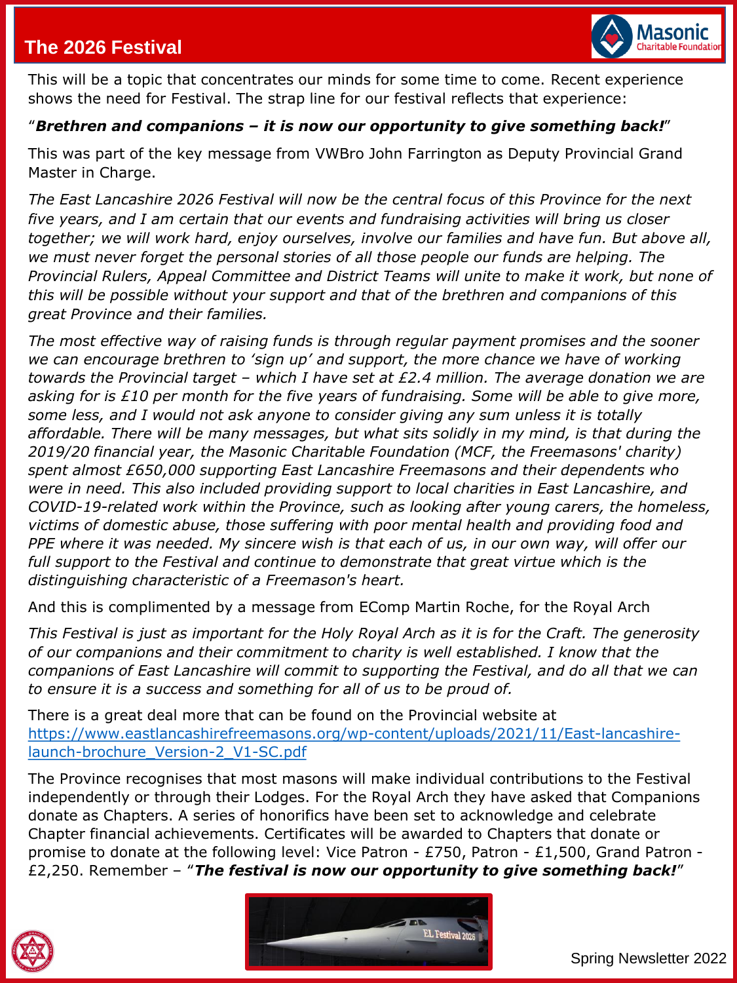### **The 2026 Festival**



This will be a topic that concentrates our minds for some time to come. Recent experience shows the need for Festival. The strap line for our festival reflects that experience:

#### "*Brethren and companions – it is now our opportunity to give something back!*"

This was part of the key message from VWBro John Farrington as Deputy Provincial Grand Master in Charge.

*The East Lancashire 2026 Festival will now be the central focus of this Province for the next five years, and I am certain that our events and fundraising activities will bring us closer together; we will work hard, enjoy ourselves, involve our families and have fun. But above all, we must never forget the personal stories of all those people our funds are helping. The Provincial Rulers, Appeal Committee and District Teams will unite to make it work, but none of this will be possible without your support and that of the brethren and companions of this great Province and their families.*

*The most effective way of raising funds is through regular payment promises and the sooner we can encourage brethren to 'sign up' and support, the more chance we have of working towards the Provincial target – which I have set at £2.4 million. The average donation we are asking for is £10 per month for the five years of fundraising. Some will be able to give more, some less, and I would not ask anyone to consider giving any sum unless it is totally affordable. There will be many messages, but what sits solidly in my mind, is that during the 2019/20 financial year, the Masonic Charitable Foundation (MCF, the Freemasons' charity) spent almost £650,000 supporting East Lancashire Freemasons and their dependents who were in need. This also included providing support to local charities in East Lancashire, and COVID-19-related work within the Province, such as looking after young carers, the homeless, victims of domestic abuse, those suffering with poor mental health and providing food and PPE where it was needed. My sincere wish is that each of us, in our own way, will offer our*  full support to the Festival and continue to demonstrate that great virtue which is the *distinguishing characteristic of a Freemason's heart.* 

And this is complimented by a message from EComp Martin Roche, for the Royal Arch

*This Festival is just as important for the Holy Royal Arch as it is for the Craft. The generosity of our companions and their commitment to charity is well established. I know that the companions of East Lancashire will commit to supporting the Festival, and do all that we can to ensure it is a success and something for all of us to be proud of.*

There is a great deal more that can be found on the Provincial website at [https://www.eastlancashirefreemasons.org/wp-content/uploads/2021/11/East-lancashire](https://www.eastlancashirefreemasons.org/wp-content/uploads/2021/11/East-lancashire-launch-brochure_Version-2_V1-SC.pdf)launch-brochure\_Version-2\_V1-SC.pdf

The Province recognises that most masons will make individual contributions to the Festival independently or through their Lodges. For the Royal Arch they have asked that Companions donate as Chapters. A series of honorifics have been set to acknowledge and celebrate Chapter financial achievements. Certificates will be awarded to Chapters that donate or promise to donate at the following level: Vice Patron - £750, Patron - £1,500, Grand Patron - £2,250. Remember – "*The festival is now our opportunity to give something back!*"



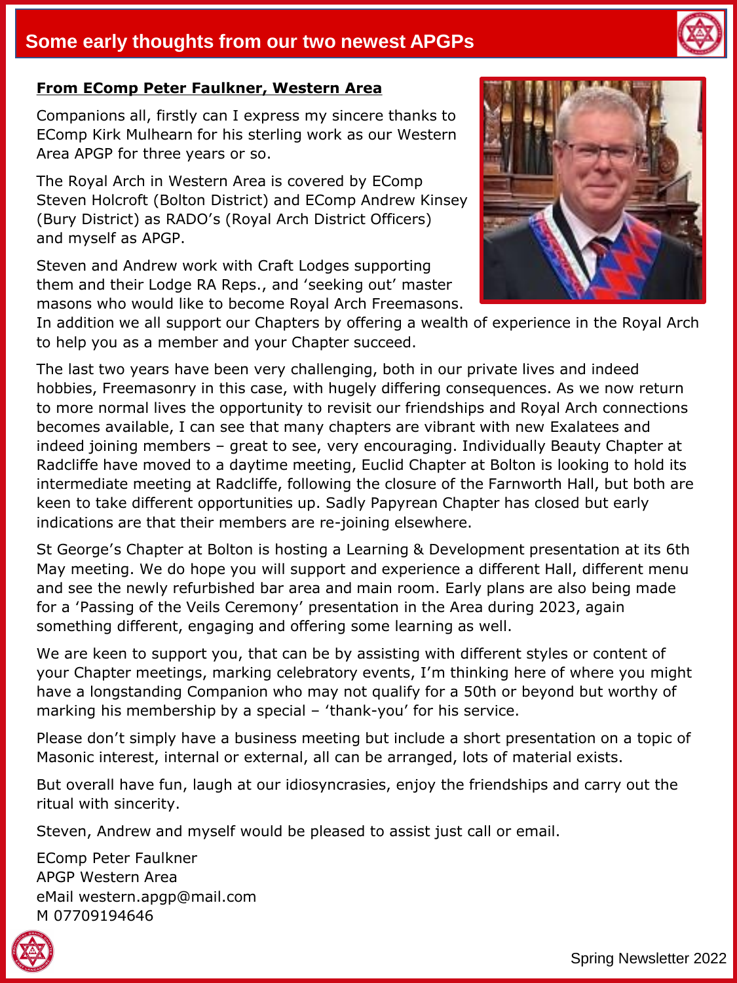### **Some early thoughts from our two newest APGPs**

#### **From EComp Peter Faulkner, Western Area**

Companions all, firstly can I express my sincere thanks to EComp Kirk Mulhearn for his sterling work as our Western Area APGP for three years or so.

The Royal Arch in Western Area is covered by EComp Steven Holcroft (Bolton District) and EComp Andrew Kinsey (Bury District) as RADO's (Royal Arch District Officers) and myself as APGP.

Steven and Andrew work with Craft Lodges supporting them and their Lodge RA Reps., and 'seeking out' master masons who would like to become Royal Arch Freemasons.



In addition we all support our Chapters by offering a wealth of experience in the Royal Arch to help you as a member and your Chapter succeed.

The last two years have been very challenging, both in our private lives and indeed hobbies, Freemasonry in this case, with hugely differing consequences. As we now return to more normal lives the opportunity to revisit our friendships and Royal Arch connections becomes available, I can see that many chapters are vibrant with new Exalatees and indeed joining members – great to see, very encouraging. Individually Beauty Chapter at Radcliffe have moved to a daytime meeting, Euclid Chapter at Bolton is looking to hold its intermediate meeting at Radcliffe, following the closure of the Farnworth Hall, but both are keen to take different opportunities up. Sadly Papyrean Chapter has closed but early indications are that their members are re-joining elsewhere.

St George's Chapter at Bolton is hosting a Learning & Development presentation at its 6th May meeting. We do hope you will support and experience a different Hall, different menu and see the newly refurbished bar area and main room. Early plans are also being made for a 'Passing of the Veils Ceremony' presentation in the Area during 2023, again something different, engaging and offering some learning as well.

We are keen to support you, that can be by assisting with different styles or content of your Chapter meetings, marking celebratory events, I'm thinking here of where you might have a longstanding Companion who may not qualify for a 50th or beyond but worthy of marking his membership by a special – 'thank-you' for his service.

Please don't simply have a business meeting but include a short presentation on a topic of Masonic interest, internal or external, all can be arranged, lots of material exists.

But overall have fun, laugh at our idiosyncrasies, enjoy the friendships and carry out the ritual with sincerity.

Steven, Andrew and myself would be pleased to assist just call or email.

EComp Peter Faulkner APGP Western Area eMail western.apgp@mail.com M 07709194646



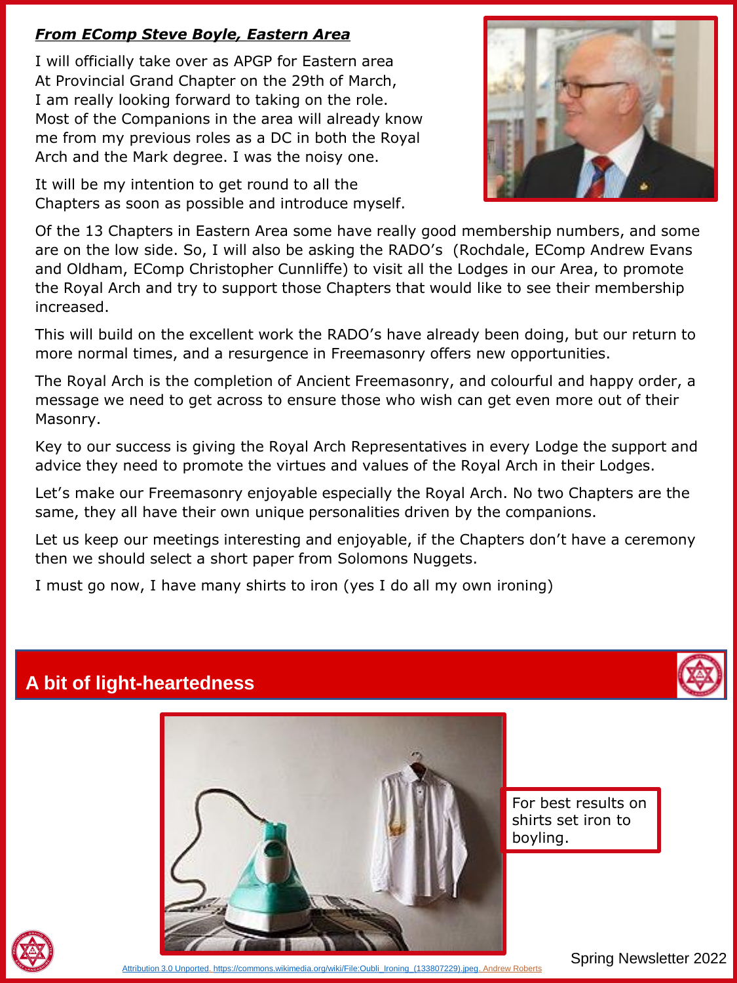#### *From EComp Steve Boyle, Eastern Area*

I will officially take over as APGP for Eastern area At Provincial Grand Chapter on the 29th of March, I am really looking forward to taking on the role. Most of the Companions in the area will already know me from my previous roles as a DC in both the Royal Arch and the Mark degree. I was the noisy one.

It will be my intention to get round to all the Chapters as soon as possible and introduce myself.



Of the 13 Chapters in Eastern Area some have really good membership numbers, and some are on the low side. So, I will also be asking the RADO's (Rochdale, EComp Andrew Evans and Oldham, EComp Christopher Cunnliffe) to visit all the Lodges in our Area, to promote the Royal Arch and try to support those Chapters that would like to see their membership increased.

This will build on the excellent work the RADO's have already been doing, but our return to more normal times, and a resurgence in Freemasonry offers new opportunities.

The Royal Arch is the completion of Ancient Freemasonry, and colourful and happy order, a message we need to get across to ensure those who wish can get even more out of their Masonry.

Key to our success is giving the Royal Arch Representatives in every Lodge the support and advice they need to promote the virtues and values of the Royal Arch in their Lodges.

Let's make our Freemasonry enjoyable especially the Royal Arch. No two Chapters are the same, they all have their own unique personalities driven by the companions.

Let us keep our meetings interesting and enjoyable, if the Chapters don't have a ceremony then we should select a short paper from Solomons Nuggets.

I must go now, I have many shirts to iron (yes I do all my own ironing)

#### **A bit of light-heartedness**



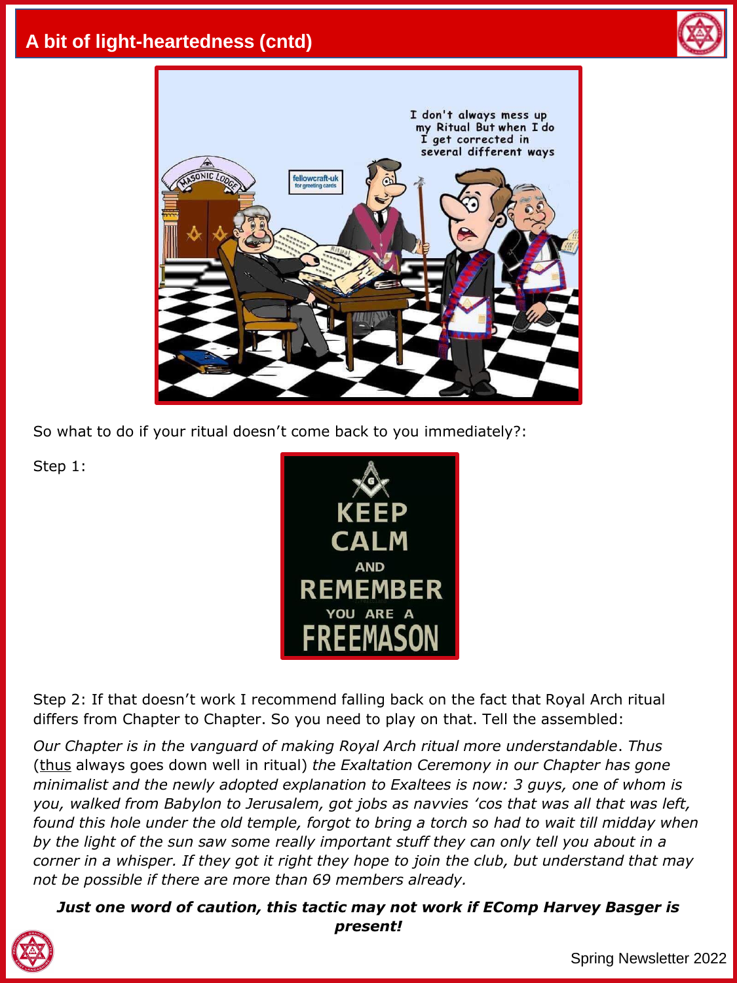## **A bit of light-heartedness (cntd)**





So what to do if your ritual doesn't come back to you immediately?:

Step 1:



Step 2: If that doesn't work I recommend falling back on the fact that Royal Arch ritual differs from Chapter to Chapter. So you need to play on that. Tell the assembled:

*Our Chapter is in the vanguard of making Royal Arch ritual more understandable*. *Thus*  (thus always goes down well in ritual) *the Exaltation Ceremony in our Chapter has gone minimalist and the newly adopted explanation to Exaltees is now: 3 guys, one of whom is you, walked from Babylon to Jerusalem, got jobs as navvies 'cos that was all that was left, found this hole under the old temple, forgot to bring a torch so had to wait till midday when by the light of the sun saw some really important stuff they can only tell you about in a corner in a whisper. If they got it right they hope to join the club, but understand that may not be possible if there are more than 69 members already.* 

*Just one word of caution, this tactic may not work if EComp Harvey Basger is present!*